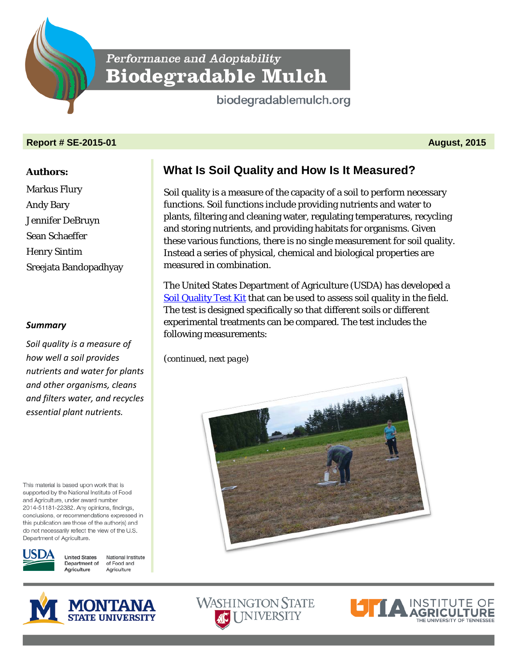

# Performance and Adoptability **Biodegradable Mulch**

biodegradablemulch.org

#### **Report # SE-2015-01 August, 2015**

#### **Authors:**

Markus Flury Andy Bary Jennifer DeBruyn Sean Schaeffer Henry Sintim Sreejata Bandopadhyay

### *Summary*

*Soil quality is a measure of how well a soil provides nutrients and water for plants and other organisms, cleans and filters water, and recycles essential plant nutrients.*

This material is based upon work that is supported by the National Institute of Food and Agriculture, under award number 2014-51181-22382. Any opinions, findings, conclusions, or recommendations expressed in this publication are those of the author(s) and do not necessarily reflect the view of the U.S. Department of Agriculture.



**United States** National Institute Department of of Food and Agriculture Agriculture



## **What Is Soil Quality and How Is It Measured?**

Soil quality is a measure of the capacity of a soil to perform necessary functions. Soil functions include providing nutrients and water to plants, filtering and cleaning water, regulating temperatures, recycling and storing nutrients, and providing habitats for organisms. Given these various functions, there is no single measurement for soil quality. Instead a series of physical, chemical and biological properties are measured in combination.

The United States Department of Agriculture (USDA) has developed a [Soil Quality Test Kit](http://www.nrcs.usda.gov/wps/portal/nrcs/detail/soils/health/assessment/?cid=nrcs142p2_053873) that can be used to assess soil quality in the field. The test is designed specifically so that different soils or different experimental treatments can be compared. The test includes the following measurements:

(*continued, next page*)



**WASHINGTON STATE AC** I INIVERSITY

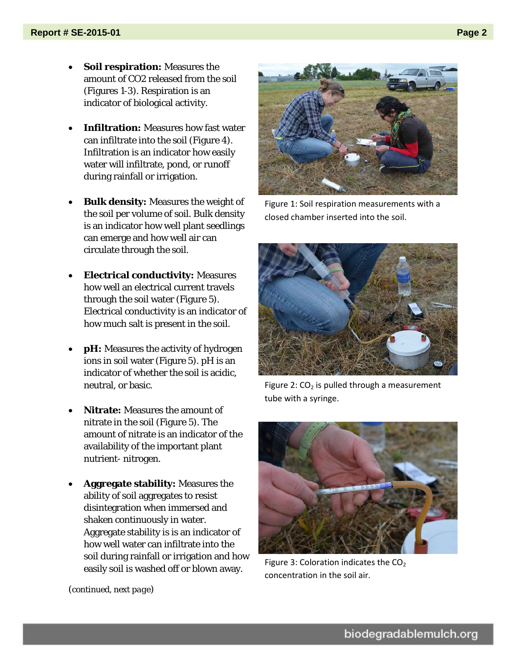- **Soil respiration:** Measures the amount of CO2 released from the soil (Figures 1-3). Respiration is an indicator of biological activity.
- **Infiltration:** Measures how fast water can infiltrate into the soil (Figure 4). Infiltration is an indicator how easily water will infiltrate, pond, or runoff during rainfall or irrigation.
- **Bulk density:** Measures the weight of the soil per volume of soil. Bulk density is an indicator how well plant seedlings can emerge and how well air can circulate through the soil.
- **Electrical conductivity:** Measures how well an electrical current travels through the soil water (Figure 5). Electrical conductivity is an indicator of how much salt is present in the soil.
- **pH:** Measures the activity of hydrogen ions in soil water (Figure 5). pH is an indicator of whether the soil is acidic, neutral, or basic.
- **Nitrate:** Measures the amount of nitrate in the soil (Figure 5). The amount of nitrate is an indicator of the availability of the important plant nutrient- nitrogen.
- **Aggregate stability:** Measures the ability of soil aggregates to resist disintegration when immersed and shaken continuously in water. Aggregate stability is is an indicator of how well water can infiltrate into the soil during rainfall or irrigation and how easily soil is washed off or blown away.



Figure 1: Soil respiration measurements with a closed chamber inserted into the soil.



Figure 2:  $CO<sub>2</sub>$  is pulled through a measurement tube with a syringe.



Figure 3: Coloration indicates the  $CO<sub>2</sub>$ concentration in the soil air.

(*continued, next page*)